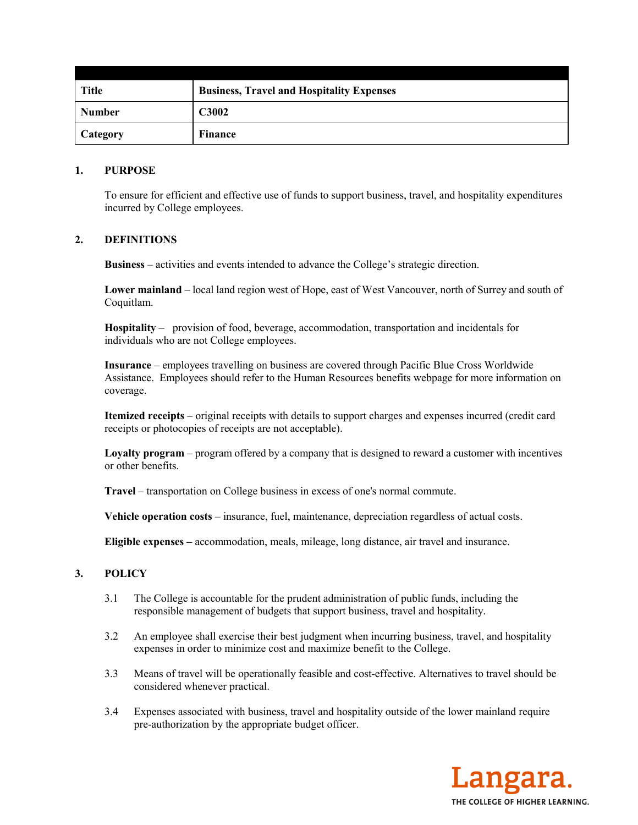| <b>Title</b>    | <b>Business, Travel and Hospitality Expenses</b> |
|-----------------|--------------------------------------------------|
| <b>Number</b>   | <b>C3002</b>                                     |
| <b>Category</b> | Finance                                          |

#### **1. PURPOSE**

To ensure for efficient and effective use of funds to support business, travel, and hospitality expenditures incurred by College employees.

### **2. DEFINITIONS**

**Business** – activities and events intended to advance the College's strategic direction.

**Lower mainland** – local land region west of Hope, east of West Vancouver, north of Surrey and south of Coquitlam.

**Hospitality** – provision of food, beverage, accommodation, transportation and incidentals for individuals who are not College employees.

**Insurance** – employees travelling on business are covered through Pacific Blue Cross Worldwide Assistance. Employees should refer to the Human Resources benefits webpage for more information on coverage.

**Itemized receipts** – original receipts with details to support charges and expenses incurred (credit card receipts or photocopies of receipts are not acceptable).

**Loyalty program** – program offered by a company that is designed to reward a customer with incentives or other benefits.

**Travel** – transportation on College business in excess of one's normal commute.

**Vehicle operation costs** – insurance, fuel, maintenance, depreciation regardless of actual costs.

**Eligible expenses –** accommodation, meals, mileage, long distance, air travel and insurance.

# **3. POLICY**

- 3.1 The College is accountable for the prudent administration of public funds, including the responsible management of budgets that support business, travel and hospitality.
- 3.2 An employee shall exercise their best judgment when incurring business, travel, and hospitality expenses in order to minimize cost and maximize benefit to the College.
- 3.3 Means of travel will be operationally feasible and cost-effective. Alternatives to travel should be considered whenever practical.
- 3.4 Expenses associated with business, travel and hospitality outside of the lower mainland require pre-authorization by the appropriate budget officer.

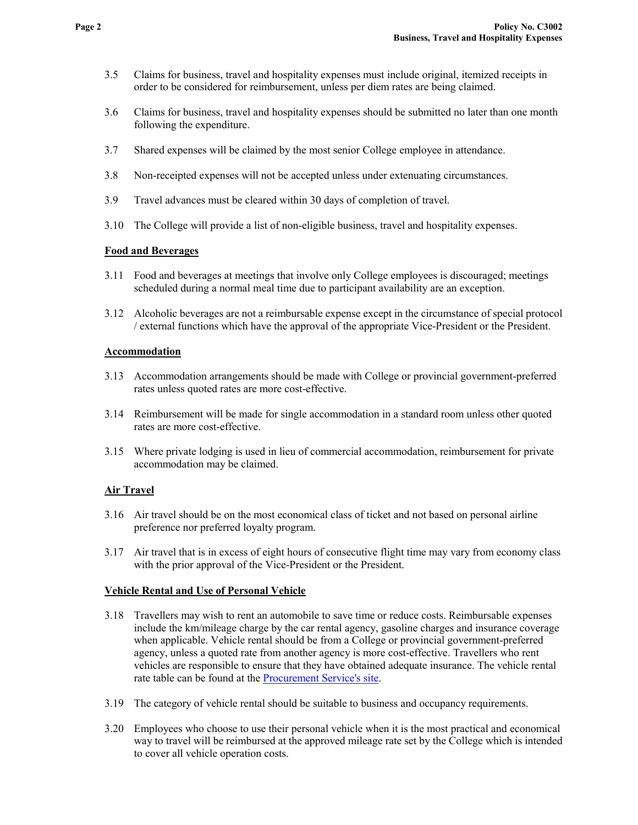- 3.5 Claims for business, travel and hospitality expenses must include original, itemized receipts in order to be considered for reimbursement, unless per diem rates are being claimed.
- 3.6 Claims for business, travel and hospitality expenses should be submitted no later than one month following the expenditure.
- 3.7 Shared expenses will be claimed by the most senior College employee in attendance.
- 3.8 Non-receipted expenses will not be accepted unless under extenuating circumstances.
- 3.9 Travel advances must be cleared within 30 days of completion of travel.
- 3.10 The College will provide a list of non-eligible business, travel and hospitality expenses.

## **Food and Beverages**

- 3.11 Food and beverages at meetings that involve only College employees is discouraged; meetings scheduled during a normal meal time due to participant availability are an exception.
- 3.12 Alcoholic beverages are not a reimbursable expense except in the circumstance of special protocol / external functions which have the approval of the appropriate Vice-President or the President.

## **Accommodation**

- 3.13 Accommodation arrangements should be made with College or provincial government-preferred rates unless quoted rates are more cost-effective.
- 3.14 Reimbursement will be made for single accommodation in a standard room unless other quoted rates are more cost-effective.
- 3.15 Where private lodging is used in lieu of commercial accommodation, reimbursement for private accommodation may be claimed.

# **Air Travel**

- 3.16 Air travel should be on the most economical class of ticket and not based on personal airline preference nor preferred loyalty program.
- 3.17 Air travel that is in excess of eight hours of consecutive flight time may vary from economy class with the prior approval of the Vice-President or the President.

# **Vehicle Rental and Use of Personal Vehicle**

- 3.18 Travellers may wish to rent an automobile to save time or reduce costs. Reimbursable expenses include the km/mileage charge by the car rental agency, gasoline charges and insurance coverage when applicable. Vehicle rental should be from a College or provincial government-preferred agency, unless a quoted rate from another agency is more cost-effective. Travellers who rent vehicles are responsible to ensure that they have obtained adequate insurance. The vehicle rental rate table can be found at the [Procurement Service's site.](https://www2.gov.bc.ca/assets/gov/careers/all-employees/pay-and-benefits/appendix_1_travel_allowances.pdf)
- 3.19 The category of vehicle rental should be suitable to business and occupancy requirements.
- 3.20 Employees who choose to use their personal vehicle when it is the most practical and economical way to travel will be reimbursed at the approved mileage rate set by the College which is intended to cover all vehicle operation costs.